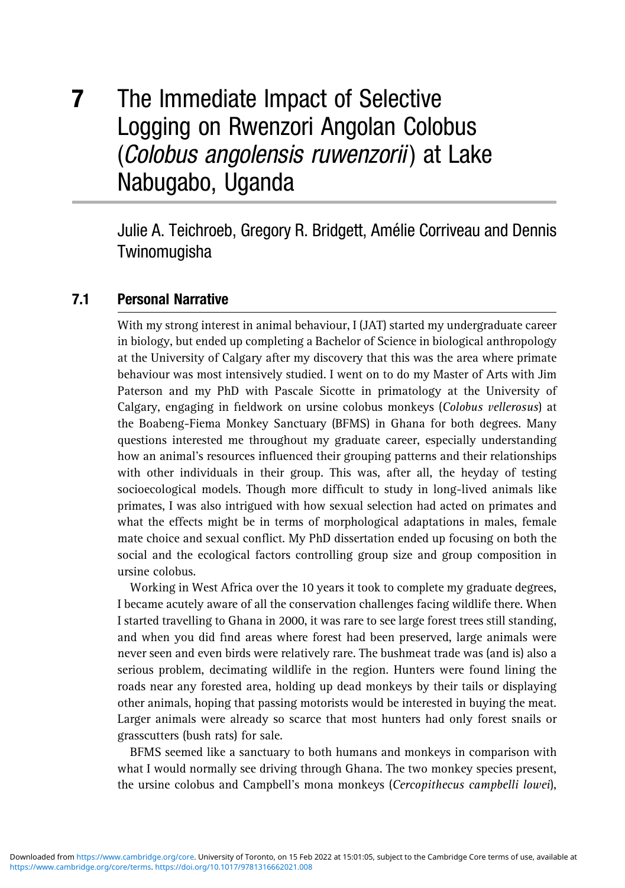# 7 The Immediate Impact of Selective Logging on Rwenzori Angolan Colobus (Colobus angolensis ruwenzorii) at Lake Nabugabo, Uganda

Julie A. Teichroeb, Gregory R. Bridgett, Amélie Corriveau and Dennis **Twinomugisha** 

# 7.1 Personal Narrative

With my strong interest in animal behaviour, I (JAT) started my undergraduate career in biology, but ended up completing a Bachelor of Science in biological anthropology at the University of Calgary after my discovery that this was the area where primate behaviour was most intensively studied. I went on to do my Master of Arts with Jim Paterson and my PhD with Pascale Sicotte in primatology at the University of Calgary, engaging in fieldwork on ursine colobus monkeys (*Colobus vellerosus*) at the Boabeng-Fiema Monkey Sanctuary (BFMS) in Ghana for both degrees. Many questions interested me throughout my graduate career, especially understanding how an animal's resources influenced their grouping patterns and their relationships with other individuals in their group. This was, after all, the heyday of testing socioecological models. Though more difficult to study in long-lived animals like primates, I was also intrigued with how sexual selection had acted on primates and what the effects might be in terms of morphological adaptations in males, female mate choice and sexual conflict. My PhD dissertation ended up focusing on both the social and the ecological factors controlling group size and group composition in ursine colobus.

Working in West Africa over the 10 years it took to complete my graduate degrees, I became acutely aware of all the conservation challenges facing wildlife there. When I started travelling to Ghana in 2000, it was rare to see large forest trees still standing, and when you did find areas where forest had been preserved, large animals were never seen and even birds were relatively rare. The bushmeat trade was (and is) also a serious problem, decimating wildlife in the region. Hunters were found lining the roads near any forested area, holding up dead monkeys by their tails or displaying other animals, hoping that passing motorists would be interested in buying the meat. Larger animals were already so scarce that most hunters had only forest snails or [grasscutters \(bu](https://www.cambridge.org/core)sh rats) for sale.

[BFM](https://www.cambridge.org/core/terms)[S](https://doi.org/10.1017/9781316662021.008) [seemed](https://doi.org/10.1017/9781316662021.008) [like](https://doi.org/10.1017/9781316662021.008) [a](https://doi.org/10.1017/9781316662021.008) [sanctuary](https://doi.org/10.1017/9781316662021.008) [to](https://doi.org/10.1017/9781316662021.008) [b](https://doi.org/10.1017/9781316662021.008)oth humans and monkeys in comparison with what I would normally see driving through Ghana. The two monkey species present, the ursine colobus and Campbell's mona monkeys (*Cercopithecus campbelli lowei*),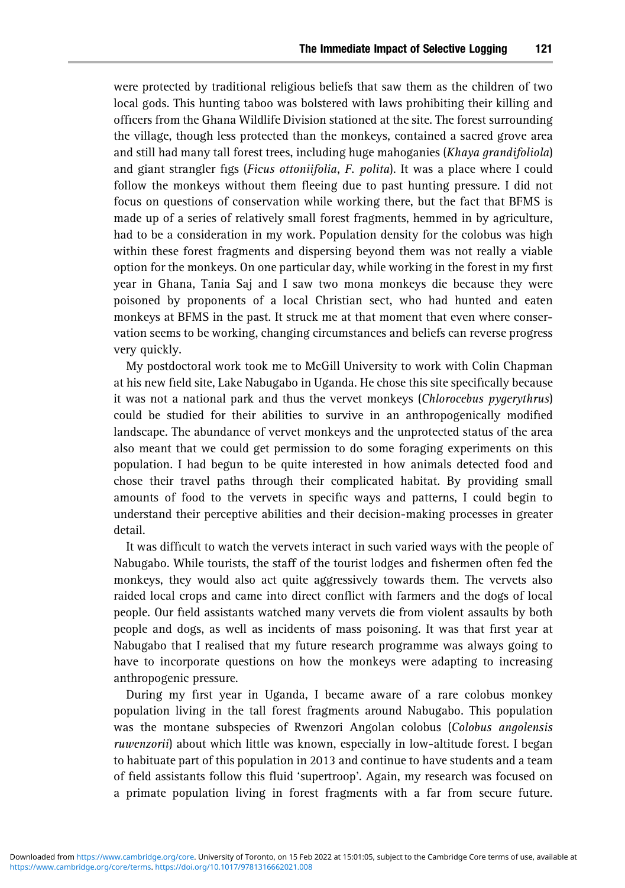were protected by traditional religious beliefs that saw them as the children of two local gods. This hunting taboo was bolstered with laws prohibiting their killing and officers from the Ghana Wildlife Division stationed at the site. The forest surrounding the village, though less protected than the monkeys, contained a sacred grove area and still had many tall forest trees, including huge mahoganies (*Khaya grandifoliola*) and giant strangler figs (*Ficus ottoniifolia*, *F. polita*). It was a place where I could follow the monkeys without them fleeing due to past hunting pressure. I did not focus on questions of conservation while working there, but the fact that BFMS is made up of a series of relatively small forest fragments, hemmed in by agriculture, had to be a consideration in my work. Population density for the colobus was high within these forest fragments and dispersing beyond them was not really a viable option for the monkeys. On one particular day, while working in the forest in my first year in Ghana, Tania Saj and I saw two mona monkeys die because they were poisoned by proponents of a local Christian sect, who had hunted and eaten monkeys at BFMS in the past. It struck me at that moment that even where conservation seems to be working, changing circumstances and beliefs can reverse progress very quickly.

My postdoctoral work took me to McGill University to work with Colin Chapman at his new field site, Lake Nabugabo in Uganda. He chose this site specifically because it was not a national park and thus the vervet monkeys (*Chlorocebus pygerythrus*) could be studied for their abilities to survive in an anthropogenically modified landscape. The abundance of vervet monkeys and the unprotected status of the area also meant that we could get permission to do some foraging experiments on this population. I had begun to be quite interested in how animals detected food and chose their travel paths through their complicated habitat. By providing small amounts of food to the vervets in specific ways and patterns, I could begin to understand their perceptive abilities and their decision-making processes in greater detail.

It was difficult to watch the vervets interact in such varied ways with the people of Nabugabo. While tourists, the staff of the tourist lodges and fishermen often fed the monkeys, they would also act quite aggressively towards them. The vervets also raided local crops and came into direct conflict with farmers and the dogs of local people. Our field assistants watched many vervets die from violent assaults by both people and dogs, as well as incidents of mass poisoning. It was that first year at Nabugabo that I realised that my future research programme was always going to have to incorporate questions on how the monkeys were adapting to increasing anthropogenic pressure.

During my first year in Uganda, I became aware of a rare colobus monkey population living in the tall forest fragments around Nabugabo. This population was the montane subspecies of Rwenzori Angolan colobus (*Colobus angolensis [ruwenzorii](https://www.cambridge.org/core)*[\) about which little was kno](https://doi.org/10.1017/9781316662021.008)wn, especially in low-altitude forest. I began to habituate part of this population in 2013 and continue to have students and a team of field assistants follow this fluid 'supertroop'. Again, my research was focused on a primate population living in forest fragments with a far from secure future.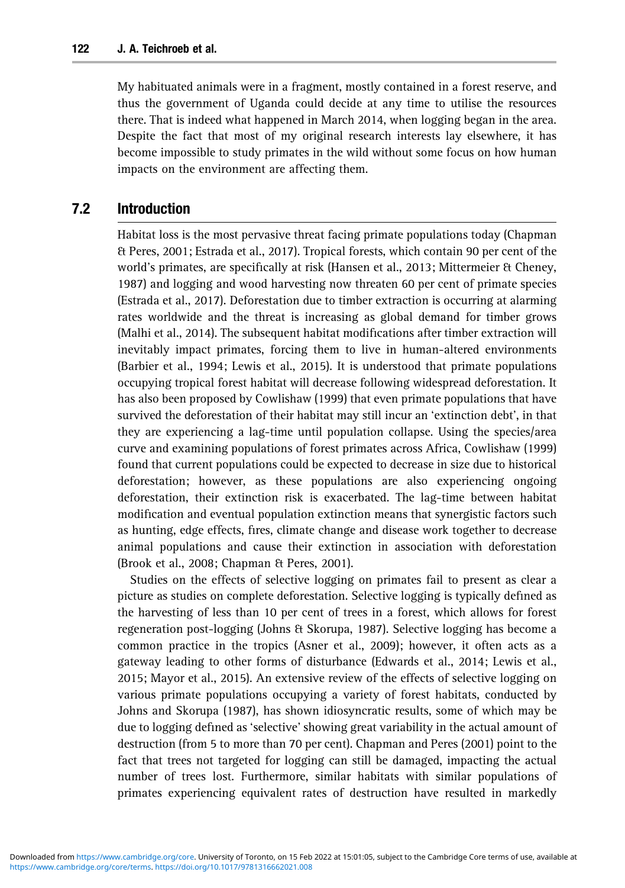My habituated animals were in a fragment, mostly contained in a forest reserve, and thus the government of Uganda could decide at any time to utilise the resources there. That is indeed what happened in March 2014, when logging began in the area. Despite the fact that most of my original research interests lay elsewhere, it has become impossible to study primates in the wild without some focus on how human impacts on the environment are affecting them.

## 7.2 Introduction

Habitat loss is the most pervasive threat facing primate populations today (Chapman & Peres, 2001; Estrada et al., 2017). Tropical forests, which contain 90 per cent of the world's primates, are specifically at risk (Hansen et al., 2013; Mittermeier & Cheney, 1987) and logging and wood harvesting now threaten 60 per cent of primate species (Estrada et al., 2017). Deforestation due to timber extraction is occurring at alarming rates worldwide and the threat is increasing as global demand for timber grows (Malhi et al., 2014). The subsequent habitat modifications after timber extraction will inevitably impact primates, forcing them to live in human-altered environments (Barbier et al., 1994; Lewis et al., 2015). It is understood that primate populations occupying tropical forest habitat will decrease following widespread deforestation. It has also been proposed by Cowlishaw (1999) that even primate populations that have survived the deforestation of their habitat may still incur an 'extinction debt', in that they are experiencing a lag-time until population collapse. Using the species/area curve and examining populations of forest primates across Africa, Cowlishaw (1999) found that current populations could be expected to decrease in size due to historical deforestation; however, as these populations are also experiencing ongoing deforestation, their extinction risk is exacerbated. The lag-time between habitat modification and eventual population extinction means that synergistic factors such as hunting, edge effects, fires, climate change and disease work together to decrease animal populations and cause their extinction in association with deforestation (Brook et al., 2008; Chapman & Peres, 2001).

Studies on the effects of selective logging on primates fail to present as clear a picture as studies on complete deforestation. Selective logging is typically defined as the harvesting of less than 10 per cent of trees in a forest, which allows for forest regeneration post-logging (Johns & Skorupa, 1987). Selective logging has become a common practice in the tropics (Asner et al., 2009); however, it often acts as a gateway leading to other forms of disturbance (Edwards et al., 2014; Lewis et al., 2015; Mayor et al., 2015). An extensive review of the effects of selective logging on various primate populations occupying a variety of forest habitats, conducted by Johns and Skorupa (1987), has shown idiosyncratic results, some of which may be due to logging defined as 'selective' showing great variability in the actual amount of [destruction](https://www.cambridge.org/core)[\(fr](https://www.cambridge.org/core)[om 5 to more than 70 pe](https://doi.org/10.1017/9781316662021.008)r cent). Chapman and Peres (2001) point to the fact that trees not targeted for logging can still be damaged, impacting the actual number of trees lost. Furthermore, similar habitats with similar populations of primates experiencing equivalent rates of destruction have resulted in markedly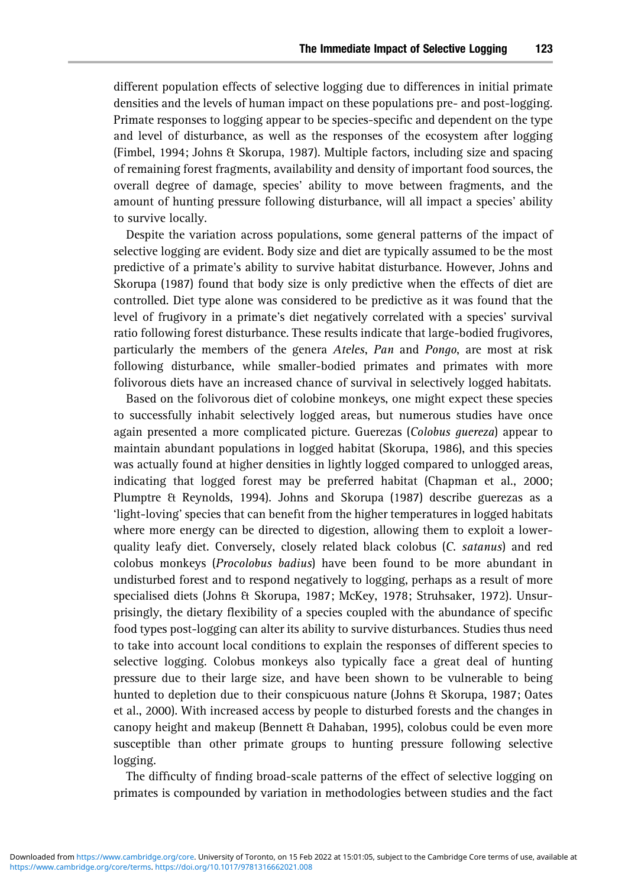different population effects of selective logging due to differences in initial primate densities and the levels of human impact on these populations pre- and post-logging. Primate responses to logging appear to be species-specific and dependent on the type and level of disturbance, as well as the responses of the ecosystem after logging (Fimbel, 1994; Johns & Skorupa, 1987). Multiple factors, including size and spacing of remaining forest fragments, availability and density of important food sources, the overall degree of damage, species' ability to move between fragments, and the amount of hunting pressure following disturbance, will all impact a species' ability to survive locally.

Despite the variation across populations, some general patterns of the impact of selective logging are evident. Body size and diet are typically assumed to be the most predictive of a primate's ability to survive habitat disturbance. However, Johns and Skorupa (1987) found that body size is only predictive when the effects of diet are controlled. Diet type alone was considered to be predictive as it was found that the level of frugivory in a primate's diet negatively correlated with a species' survival ratio following forest disturbance. These results indicate that large-bodied frugivores, particularly the members of the genera *Ateles*, *Pan* and *Pongo*, are most at risk following disturbance, while smaller-bodied primates and primates with more folivorous diets have an increased chance of survival in selectively logged habitats.

Based on the folivorous diet of colobine monkeys, one might expect these species to successfully inhabit selectively logged areas, but numerous studies have once again presented a more complicated picture. Guerezas (*Colobus guereza*) appear to maintain abundant populations in logged habitat (Skorupa, 1986), and this species was actually found at higher densities in lightly logged compared to unlogged areas, indicating that logged forest may be preferred habitat (Chapman et al., 2000; Plumptre & Reynolds, 1994). Johns and Skorupa (1987) describe guerezas as a 'light-loving' species that can benefit from the higher temperatures in logged habitats where more energy can be directed to digestion, allowing them to exploit a lowerquality leafy diet. Conversely, closely related black colobus (*C. satanus*) and red colobus monkeys (*Procolobus badius*) have been found to be more abundant in undisturbed forest and to respond negatively to logging, perhaps as a result of more specialised diets (Johns & Skorupa, 1987; McKey, 1978; Struhsaker, 1972). Unsurprisingly, the dietary flexibility of a species coupled with the abundance of specific food types post-logging can alter its ability to survive disturbances. Studies thus need to take into account local conditions to explain the responses of different species to selective logging. Colobus monkeys also typically face a great deal of hunting pressure due to their large size, and have been shown to be vulnerable to being hunted to depletion due to their conspicuous nature (Johns & Skorupa, 1987; Oates et al., 2000). With increased access by people to disturbed forests and the changes in canopy height and makeup (Bennett & Dahaban, 1995), colobus could be even more [susceptible](https://www.cambridge.org/core)[th](https://www.cambridge.org/core)[an other primate grou](https://doi.org/10.1017/9781316662021.008)ps to hunting pressure following selective logging.

The difficulty of finding broad-scale patterns of the effect of selective logging on primates is compounded by variation in methodologies between studies and the fact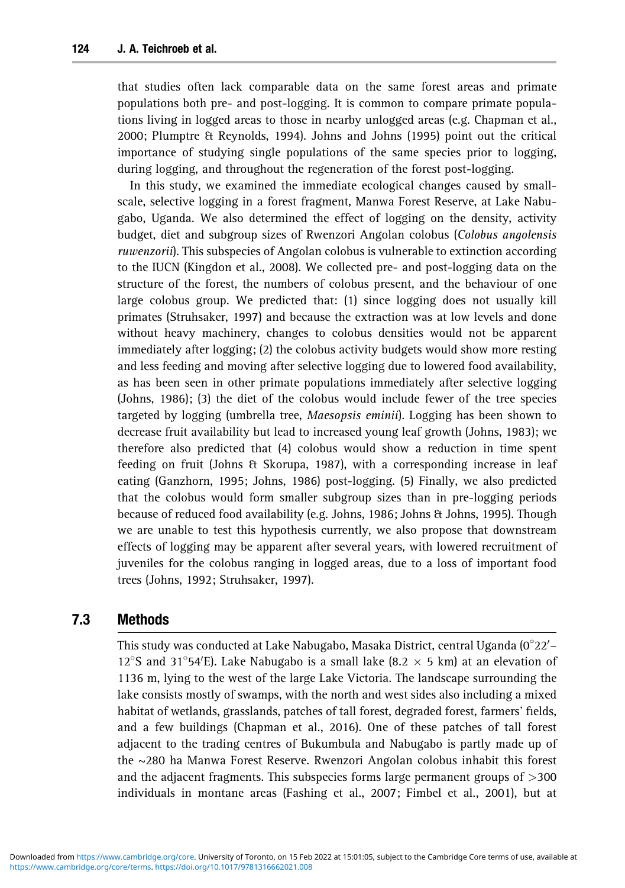that studies often lack comparable data on the same forest areas and primate populations both pre- and post-logging. It is common to compare primate populations living in logged areas to those in nearby unlogged areas (e.g. Chapman et al., 2000; Plumptre & Reynolds, 1994). Johns and Johns (1995) point out the critical importance of studying single populations of the same species prior to logging, during logging, and throughout the regeneration of the forest post-logging.

In this study, we examined the immediate ecological changes caused by smallscale, selective logging in a forest fragment, Manwa Forest Reserve, at Lake Nabugabo, Uganda. We also determined the effect of logging on the density, activity budget, diet and subgroup sizes of Rwenzori Angolan colobus (*Colobus angolensis ruwenzorii*). This subspecies of Angolan colobus is vulnerable to extinction according to the IUCN (Kingdon et al., 2008). We collected pre- and post-logging data on the structure of the forest, the numbers of colobus present, and the behaviour of one large colobus group. We predicted that: (1) since logging does not usually kill primates (Struhsaker, 1997) and because the extraction was at low levels and done without heavy machinery, changes to colobus densities would not be apparent immediately after logging; (2) the colobus activity budgets would show more resting and less feeding and moving after selective logging due to lowered food availability, as has been seen in other primate populations immediately after selective logging (Johns, 1986); (3) the diet of the colobus would include fewer of the tree species targeted by logging (umbrella tree, *Maesopsis eminii*). Logging has been shown to decrease fruit availability but lead to increased young leaf growth (Johns, 1983); we therefore also predicted that (4) colobus would show a reduction in time spent feeding on fruit (Johns & Skorupa, 1987), with a corresponding increase in leaf eating (Ganzhorn, 1995; Johns, 1986) post-logging. (5) Finally, we also predicted that the colobus would form smaller subgroup sizes than in pre-logging periods because of reduced food availability (e.g. Johns, 1986; Johns & Johns, 1995). Though we are unable to test this hypothesis currently, we also propose that downstream effects of logging may be apparent after several years, with lowered recruitment of juveniles for the colobus ranging in logged areas, due to a loss of important food trees (Johns, 1992; Struhsaker, 1997).

# 7.3 Methods

This study was conducted at Lake Nabugabo, Masaka District, central Uganda (0 $^{\circ}$ 22 $^{\prime}$ – 12<sup>°</sup>S and 31<sup>°</sup>54′E). Lake Nabugabo is a small lake (8.2  $\times$  5 km) at an elevation of 1136 m, lying to the west of the large Lake Victoria. The landscape surrounding the lake consists mostly of swamps, with the north and west sides also including a mixed habitat of wetlands, grasslands, patches of tall forest, degraded forest, farmers' fields, and a few buildings (Chapman et al., 2016). One of these patches of tall forest [adjacent](https://www.cambridge.org/core)[to](https://www.cambridge.org/core)[th](https://www.cambridge.org/core)[e trading centres of Bu](https://doi.org/10.1017/9781316662021.008)kumbula and Nabugabo is partly made up of the ~280 ha Manwa Forest Reserve. Rwenzori Angolan colobus inhabit this forest and the adjacent fragments. This subspecies forms large permanent groups of *>*300 individuals in montane areas (Fashing et al., 2007; Fimbel et al., 2001), but at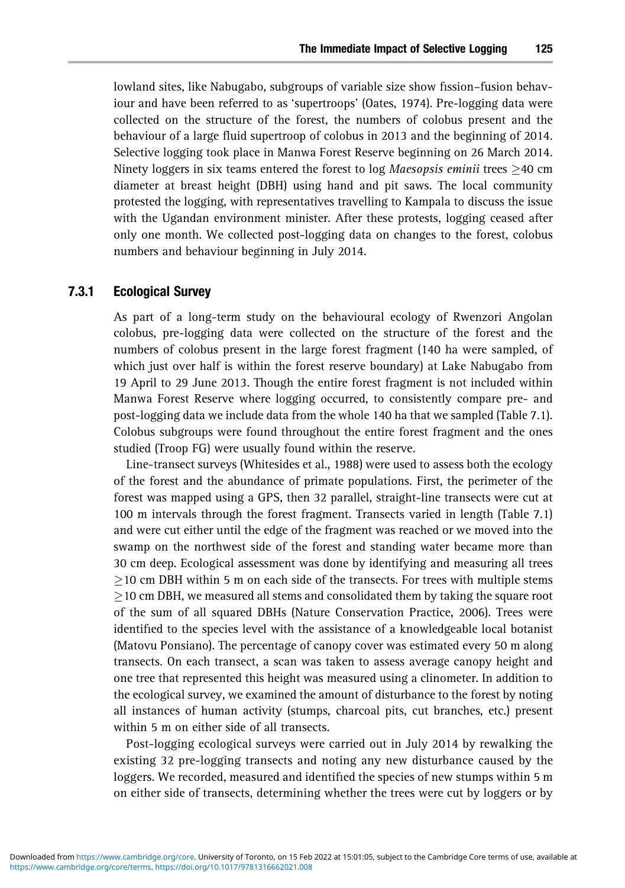lowland sites, like Nabugabo, subgroups of variable size show fission–fusion behaviour and have been referred to as 'supertroops' (Oates, 1974). Pre-logging data were collected on the structure of the forest, the numbers of colobus present and the behaviour of a large fluid supertroop of colobus in 2013 and the beginning of 2014. Selective logging took place in Manwa Forest Reserve beginning on 26 March 2014. Ninety loggers in six teams entered the forest to log *Maesopsis eminii* trees  $\geq$ 40 cm diameter at breast height (DBH) using hand and pit saws. The local community protested the logging, with representatives travelling to Kampala to discuss the issue with the Ugandan environment minister. After these protests, logging ceased after only one month. We collected post-logging data on changes to the forest, colobus numbers and behaviour beginning in July 2014.

#### 7.3.1 Ecological Survey

As part of a long-term study on the behavioural ecology of Rwenzori Angolan colobus, pre-logging data were collected on the structure of the forest and the numbers of colobus present in the large forest fragment (140 ha were sampled, of which just over half is within the forest reserve boundary) at Lake Nabugabo from 19 April to 29 June 2013. Though the entire forest fragment is not included within Manwa Forest Reserve where logging occurred, to consistently compare pre- and post-logging data we include data from the whole 140 ha that we sampled (Table 7.1). Colobus subgroups were found throughout the entire forest fragment and the ones studied (Troop FG) were usually found within the reserve.

Line-transect surveys (Whitesides et al., 1988) were used to assess both the ecology of the forest and the abundance of primate populations. First, the perimeter of the forest was mapped using a GPS, then 32 parallel, straight-line transects were cut at 100 m intervals through the forest fragment. Transects varied in length (Table 7.1) and were cut either until the edge of the fragment was reached or we moved into the swamp on the northwest side of the forest and standing water became more than 30 cm deep. Ecological assessment was done by identifying and measuring all trees  $>$ 10 cm DBH within 5 m on each side of the transects. For trees with multiple stems  $\geq$ 10 cm DBH, we measured all stems and consolidated them by taking the square root of the sum of all squared DBHs (Nature Conservation Practice, 2006). Trees were identified to the species level with the assistance of a knowledgeable local botanist (Matovu Ponsiano). The percentage of canopy cover was estimated every 50 m along transects. On each transect, a scan was taken to assess average canopy height and one tree that represented this height was measured using a clinometer. In addition to the ecological survey, we examined the amount of disturbance to the forest by noting all instances of human activity (stumps, charcoal pits, cut branches, etc.) present within 5 m on either side of all transects.

[Post-loggin](https://www.cambridge.org/core)[g ecological surveys we](https://doi.org/10.1017/9781316662021.008)re carried out in July 2014 by rewalking the existing 32 pre-logging transects and noting any new disturbance caused by the loggers. We recorded, measured and identified the species of new stumps within 5 m on either side of transects, determining whether the trees were cut by loggers or by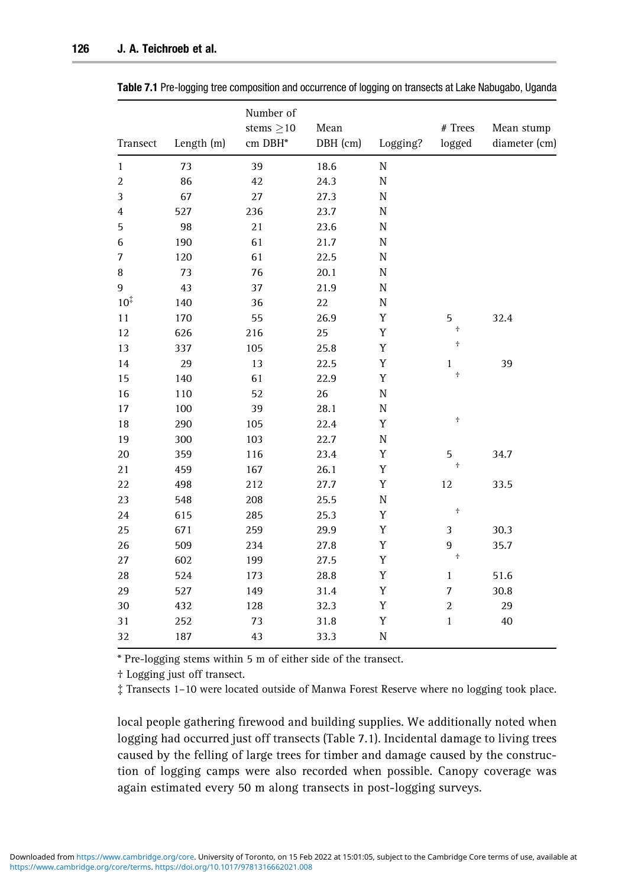| Transect         | Length (m) | Number of<br>stems $\geq$ 10<br>cm DBH* | Mean<br>DBH (cm) | Logging?    | $#$ Trees<br>logged | Mean stump<br>diameter (cm) |
|------------------|------------|-----------------------------------------|------------------|-------------|---------------------|-----------------------------|
| $\mathbf{1}$     | 73         | 39                                      | 18.6             | $\mathbf N$ |                     |                             |
| $\boldsymbol{2}$ | 86         | 42                                      | 24.3             | ${\rm N}$   |                     |                             |
| 3                | 67         | 27                                      | 27.3             | ${\rm N}$   |                     |                             |
| $\overline{4}$   | 527        | 236                                     | 23.7             | $\rm N$     |                     |                             |
| 5                | 98         | 21                                      | 23.6             | ${\rm N}$   |                     |                             |
| 6                | 190        | 61                                      | 21.7             | ${\rm N}$   |                     |                             |
| 7                | 120        | 61                                      | 22.5             | ${\rm N}$   |                     |                             |
| 8                | 73         | 76                                      | 20.1             | $\rm N$     |                     |                             |
| 9                | 43         | 37                                      | 21.9             | N           |                     |                             |
| $10^{\ddagger}$  | 140        | 36                                      | 22               | $\rm N$     |                     |                             |
| 11               | 170        | 55                                      | 26.9             | Y           | 5                   | 32.4                        |
| 12               | 626        | 216                                     | 25               | Y           | $\pm$               |                             |
| 13               | 337        | 105                                     | 25.8             | Y           | $^+$                |                             |
| 14               | 29         | 13                                      | 22.5             | $\mathbf Y$ | $\mathbf{1}$        | 39                          |
| 15               | 140        | 61                                      | 22.9             | Y           | $^+$                |                             |
| 16               | 110        | 52                                      | 26               | $\rm N$     |                     |                             |
| 17               | 100        | 39                                      | 28.1             | ${\rm N}$   |                     |                             |
| 18               | 290        | 105                                     | 22.4             | Y           | $^\mathrm{+}$       |                             |
| 19               | 300        | 103                                     | 22.7             | ${\rm N}$   |                     |                             |
| 20               | 359        | 116                                     | 23.4             | Y           | 5                   | 34.7                        |
| 21               | 459        | 167                                     | 26.1             | Y           | $\pm$               |                             |
| 22               | 498        | 212                                     | 27.7             | Y           | 12                  | 33.5                        |
| 23               | 548        | 208                                     | 25.5             | $\rm N$     |                     |                             |
| 24               | 615        | 285                                     | 25.3             | Y           | $^+_\mathrm{r}$     |                             |
| 25               | 671        | 259                                     | 29.9             | Y           | $\mathfrak z$       | 30.3                        |
| 26               | 509        | 234                                     | 27.8             | Y           | 9                   | 35.7                        |
| 27               | 602        | 199                                     | 27.5             | $\mathbf Y$ | $\dot{\mathsf T}$   |                             |
| 28               | 524        | 173                                     | 28.8             | Y           | $\mathbf{1}$        | 51.6                        |
| 29               | 527        | 149                                     | 31.4             | $\mathbf Y$ | $\boldsymbol{7}$    | 30.8                        |
| 30               | 432        | 128                                     | 32.3             | Y           | $\sqrt{2}$          | 29                          |
| 31               | 252        | 73                                      | 31.8             | Y           | $\mathbf 1$         | 40                          |
| 32               | 187        | 43                                      | 33.3             | ${\rm N}$   |                     |                             |

Table 7.1 Pre-logging tree composition and occurrence of logging on transects at Lake Nabugabo, Uganda

\* Pre-logging stems within 5 m of either side of the transect.

† Logging just off transect.

{ Transects 1–10 were located outside of Manwa Forest Reserve where no logging took place.

local people gathering firewood and building supplies. We additionally noted when [logging had oc](https://www.cambridge.org/core)curred just off transects (Table 7.1). Incidental damage to living trees [caused](https://www.cambridge.org/core/terms) [by](https://doi.org/10.1017/9781316662021.008) [the](https://doi.org/10.1017/9781316662021.008) [felling](https://doi.org/10.1017/9781316662021.008) [of](https://doi.org/10.1017/9781316662021.008) [large](https://doi.org/10.1017/9781316662021.008) [trees](https://doi.org/10.1017/9781316662021.008) [fo](https://doi.org/10.1017/9781316662021.008)r timber and damage caused by the construction of logging camps were also recorded when possible. Canopy coverage was again estimated every 50 m along transects in post-logging surveys.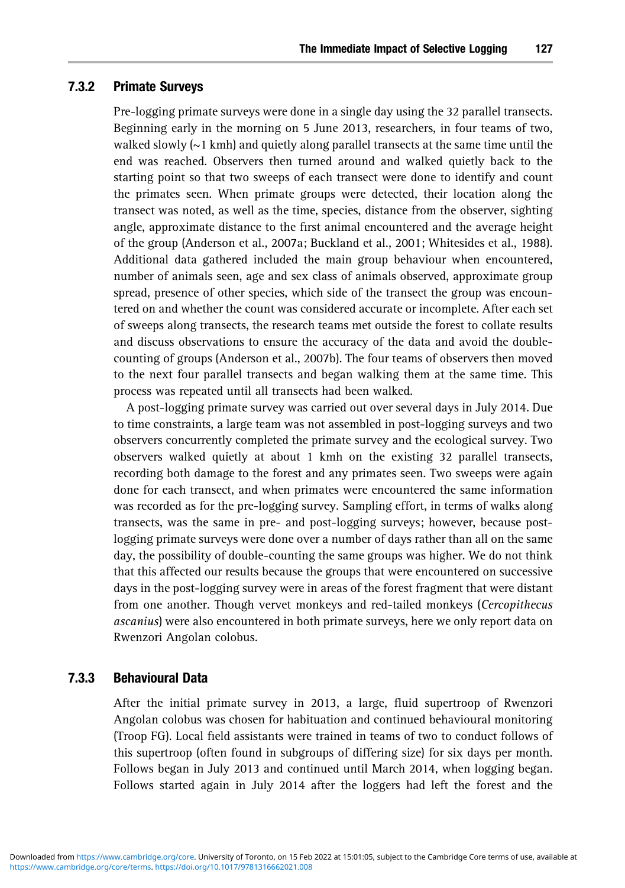#### 7.3.2 Primate Surveys

Pre-logging primate surveys were done in a single day using the 32 parallel transects. Beginning early in the morning on 5 June 2013, researchers, in four teams of two, walked slowly  $(\sim 1 \text{ kmh})$  and quietly along parallel transects at the same time until the end was reached. Observers then turned around and walked quietly back to the starting point so that two sweeps of each transect were done to identify and count the primates seen. When primate groups were detected, their location along the transect was noted, as well as the time, species, distance from the observer, sighting angle, approximate distance to the first animal encountered and the average height of the group (Anderson et al., 2007a; Buckland et al., 2001; Whitesides et al., 1988). Additional data gathered included the main group behaviour when encountered, number of animals seen, age and sex class of animals observed, approximate group spread, presence of other species, which side of the transect the group was encountered on and whether the count was considered accurate or incomplete. After each set of sweeps along transects, the research teams met outside the forest to collate results and discuss observations to ensure the accuracy of the data and avoid the doublecounting of groups (Anderson et al., 2007b). The four teams of observers then moved to the next four parallel transects and began walking them at the same time. This process was repeated until all transects had been walked.

A post-logging primate survey was carried out over several days in July 2014. Due to time constraints, a large team was not assembled in post-logging surveys and two observers concurrently completed the primate survey and the ecological survey. Two observers walked quietly at about 1 kmh on the existing 32 parallel transects, recording both damage to the forest and any primates seen. Two sweeps were again done for each transect, and when primates were encountered the same information was recorded as for the pre-logging survey. Sampling effort, in terms of walks along transects, was the same in pre- and post-logging surveys; however, because postlogging primate surveys were done over a number of days rather than all on the same day, the possibility of double-counting the same groups was higher. We do not think that this affected our results because the groups that were encountered on successive days in the post-logging survey were in areas of the forest fragment that were distant from one another. Though vervet monkeys and red-tailed monkeys (*Cercopithecus ascanius*) were also encountered in both primate surveys, here we only report data on Rwenzori Angolan colobus.

## 7.3.3 Behavioural Data

After the initial primate survey in 2013, a large, fluid supertroop of Rwenzori Angolan colobus was chosen for habituation and continued behavioural monitoring [\(Troop FG\). Loc](https://www.cambridge.org/core)al field assistants were trained in teams of two to conduct follows of [this](https://www.cambridge.org/core/terms) [sup](https://www.cambridge.org/core/terms)[ertroop](https://doi.org/10.1017/9781316662021.008) [\(often](https://doi.org/10.1017/9781316662021.008) [found](https://doi.org/10.1017/9781316662021.008) [in](https://doi.org/10.1017/9781316662021.008) [subgro](https://doi.org/10.1017/9781316662021.008)ups of differing size) for six days per month. Follows began in July 2013 and continued until March 2014, when logging began. Follows started again in July 2014 after the loggers had left the forest and the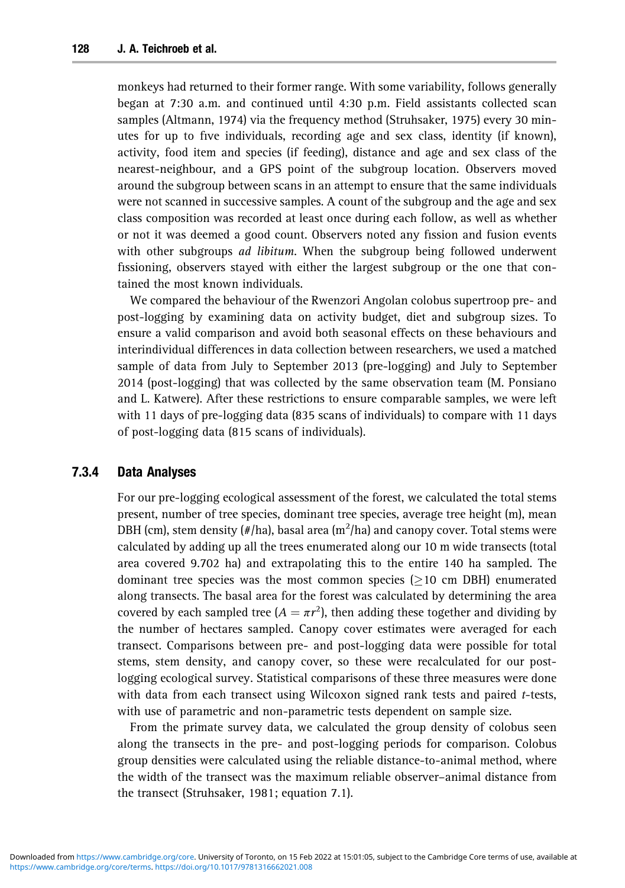monkeys had returned to their former range. With some variability, follows generally began at 7:30 a.m. and continued until 4:30 p.m. Field assistants collected scan samples (Altmann, 1974) via the frequency method (Struhsaker, 1975) every 30 minutes for up to five individuals, recording age and sex class, identity (if known), activity, food item and species (if feeding), distance and age and sex class of the nearest-neighbour, and a GPS point of the subgroup location. Observers moved around the subgroup between scans in an attempt to ensure that the same individuals were not scanned in successive samples. A count of the subgroup and the age and sex class composition was recorded at least once during each follow, as well as whether or not it was deemed a good count. Observers noted any fission and fusion events with other subgroups *ad libitum*. When the subgroup being followed underwent fissioning, observers stayed with either the largest subgroup or the one that contained the most known individuals.

We compared the behaviour of the Rwenzori Angolan colobus supertroop pre- and post-logging by examining data on activity budget, diet and subgroup sizes. To ensure a valid comparison and avoid both seasonal effects on these behaviours and interindividual differences in data collection between researchers, we used a matched sample of data from July to September 2013 (pre-logging) and July to September 2014 (post-logging) that was collected by the same observation team (M. Ponsiano and L. Katwere). After these restrictions to ensure comparable samples, we were left with 11 days of pre-logging data (835 scans of individuals) to compare with 11 days of post-logging data (815 scans of individuals).

## 7.3.4 Data Analyses

For our pre-logging ecological assessment of the forest, we calculated the total stems present, number of tree species, dominant tree species, average tree height (m), mean DBH (cm), stem density (#/ha), basal area (m $^2$ /ha) and canopy cover. Total stems were calculated by adding up all the trees enumerated along our 10 m wide transects (total area covered 9.702 ha) and extrapolating this to the entire 140 ha sampled. The dominant tree species was the most common species  $(>10 \text{ cm} \text{ DBH})$  enumerated along transects. The basal area for the forest was calculated by determining the area covered by each sampled tree  $(A = \pi r^2)$ , then adding these together and dividing by the number of hectares sampled. Canopy cover estimates were averaged for each transect. Comparisons between pre- and post-logging data were possible for total stems, stem density, and canopy cover, so these were recalculated for our postlogging ecological survey. Statistical comparisons of these three measures were done with data from each transect using Wilcoxon signed rank tests and paired *t*-tests, with use of parametric and non-parametric tests dependent on sample size.

From the primate survey data, we calculated the group density of colobus seen [along](https://www.cambridge.org/core) [the](https://www.cambridge.org/core)[tra](https://www.cambridge.org/core)[nsects in the pre- and p](https://doi.org/10.1017/9781316662021.008)ost-logging periods for comparison. Colobus group densities were calculated using the reliable distance-to-animal method, where the width of the transect was the maximum reliable observer–animal distance from the transect (Struhsaker, 1981; equation 7.1).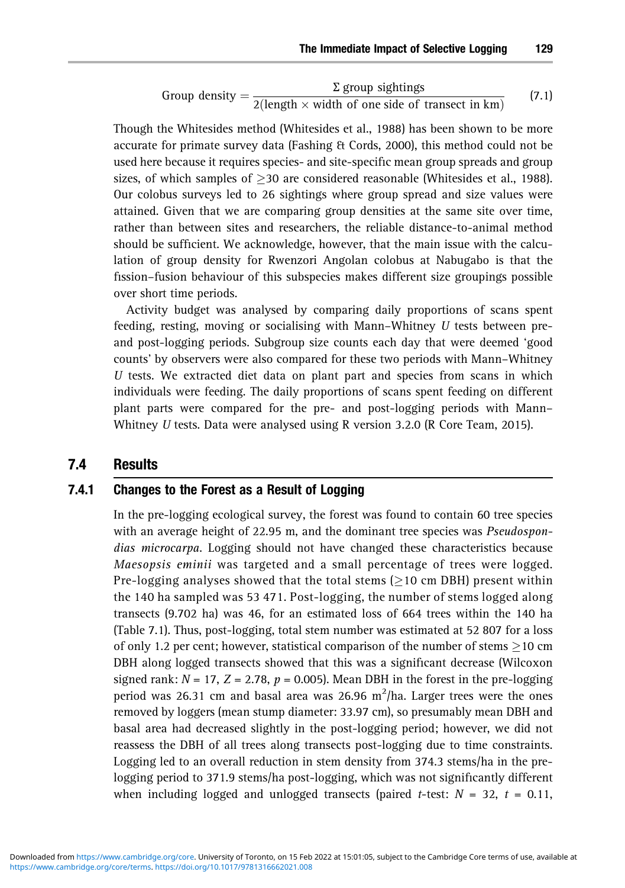Group density = 
$$
\frac{\Sigma \text{ group sightings}}{2(\text{length} \times \text{width of one side of transect in km})}
$$
(7.1)

Though the Whitesides method (Whitesides et al., 1988) has been shown to be more accurate for primate survey data (Fashing & Cords, 2000), this method could not be used here because it requires species- and site-specific mean group spreads and group sizes, of which samples of  $>$ 30 are considered reasonable (Whitesides et al., 1988). Our colobus surveys led to 26 sightings where group spread and size values were attained. Given that we are comparing group densities at the same site over time, rather than between sites and researchers, the reliable distance-to-animal method should be sufficient. We acknowledge, however, that the main issue with the calculation of group density for Rwenzori Angolan colobus at Nabugabo is that the fission–fusion behaviour of this subspecies makes different size groupings possible over short time periods.

Activity budget was analysed by comparing daily proportions of scans spent feeding, resting, moving or socialising with Mann–Whitney *U* tests between preand post-logging periods. Subgroup size counts each day that were deemed 'good counts' by observers were also compared for these two periods with Mann–Whitney *U* tests. We extracted diet data on plant part and species from scans in which individuals were feeding. The daily proportions of scans spent feeding on different plant parts were compared for the pre- and post-logging periods with Mann– Whitney *U* tests. Data were analysed using R version 3.2.0 (R Core Team, 2015).

## 7.4 Results

## 7.4.1 Changes to the Forest as a Result of Logging

In the pre-logging ecological survey, the forest was found to contain 60 tree species with an average height of 22.95 m, and the dominant tree species was *Pseudospondias microcarpa*. Logging should not have changed these characteristics because *Maesopsis eminii* was targeted and a small percentage of trees were logged. Pre-logging analyses showed that the total stems ( $\geq$ 10 cm DBH) present within the 140 ha sampled was 53 471. Post-logging, the number of stems logged along transects (9.702 ha) was 46, for an estimated loss of 664 trees within the 140 ha (Table 7.1). Thus, post-logging, total stem number was estimated at 52 807 for a loss of only 1.2 per cent; however, statistical comparison of the number of stems  $>$ 10 cm DBH along logged transects showed that this was a significant decrease (Wilcoxon signed rank:  $N = 17$ ,  $Z = 2.78$ ,  $p = 0.005$ ). Mean DBH in the forest in the pre-logging period was 26.31 cm and basal area was 26.96  $m^2/h$ a. Larger trees were the ones removed by loggers (mean stump diameter: 33.97 cm), so presumably mean DBH and basal area had decreased slightly in the post-logging period; however, we did not [reasses](https://www.cambridge.org/core/terms)[s](https://www.cambridge.org/core) [the DBH of all trees along tra](https://doi.org/10.1017/9781316662021.008)nsects post-logging due to time constraints. Logging led to an overall reduction in stem density from 374.3 stems/ha in the prelogging period to 371.9 stems/ha post-logging, which was not significantly different when including logged and unlogged transects (paired  $t$ -test:  $N = 32$ ,  $t = 0.11$ ,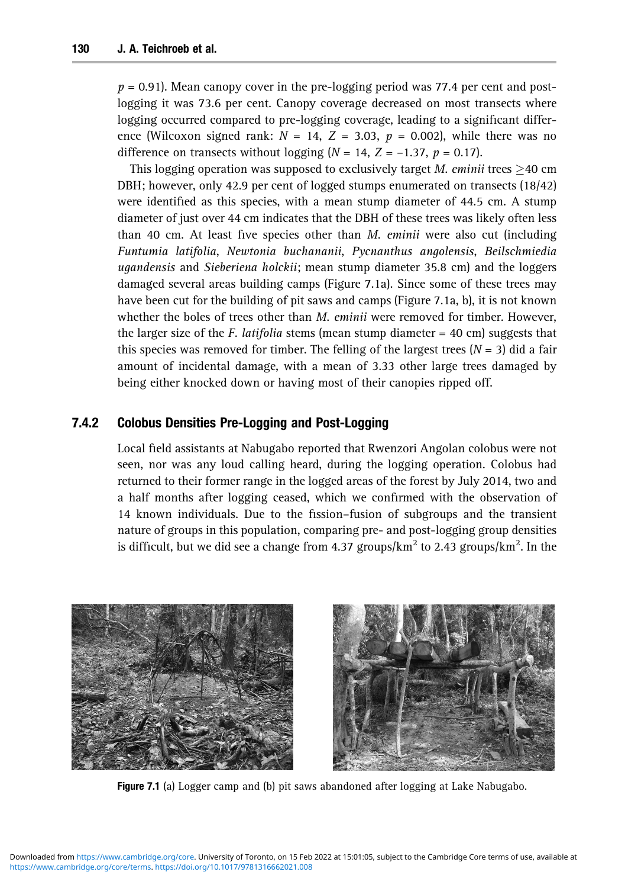$p = 0.91$ ). Mean canopy cover in the pre-logging period was 77.4 per cent and postlogging it was 73.6 per cent. Canopy coverage decreased on most transects where logging occurred compared to pre-logging coverage, leading to a significant difference (Wilcoxon signed rank:  $N = 14$ ,  $Z = 3.03$ ,  $p = 0.002$ ), while there was no difference on transects without logging  $(N = 14, Z = -1.37, p = 0.17)$ .

This logging operation was supposed to exclusively target *M. eminii* trees  $\geq$ 40 cm DBH; however, only 42.9 per cent of logged stumps enumerated on transects (18/42) were identified as this species, with a mean stump diameter of 44.5 cm. A stump diameter of just over 44 cm indicates that the DBH of these trees was likely often less than 40 cm. At least five species other than *M. eminii* were also cut (including *Funtumia latifolia*, *Newtonia buchananii*, *Pycnanthus angolensis*, *Beilschmiedia ugandensis* and *Sieberiena holckii*; mean stump diameter 35.8 cm) and the loggers damaged several areas building camps (Figure 7.1a). Since some of these trees may have been cut for the building of pit saws and camps (Figure 7.1a, b), it is not known whether the boles of trees other than *M. eminii* were removed for timber. However, the larger size of the *F. latifolia* stems (mean stump diameter = 40 cm) suggests that this species was removed for timber. The felling of the largest trees  $(N = 3)$  did a fair amount of incidental damage, with a mean of 3.33 other large trees damaged by being either knocked down or having most of their canopies ripped off.

## 7.4.2 Colobus Densities Pre-Logging and Post-Logging

Local field assistants at Nabugabo reported that Rwenzori Angolan colobus were not seen, nor was any loud calling heard, during the logging operation. Colobus had returned to their former range in the logged areas of the forest by July 2014, two and a half months after logging ceased, which we confirmed with the observation of 14 known individuals. Due to the fission–fusion of subgroups and the transient nature of groups in this population, comparing pre- and post-logging group densities is difficult, but we did see a change from 4.37 groups/ $\mathrm{km}^2$  to 2.43 groups/ $\mathrm{km}^2$ . In the



Figure 7.1 (a) Logger camp and (b) pit saws abandoned after logging at Lake Nabugabo.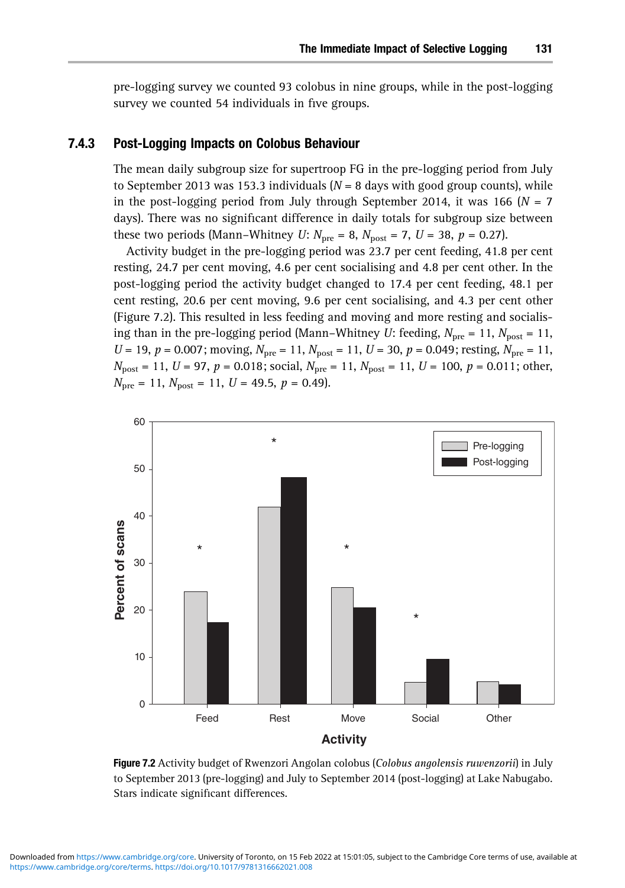pre-logging survey we counted 93 colobus in nine groups, while in the post-logging survey we counted 54 individuals in five groups.

#### 7.4.3 Post-Logging Impacts on Colobus Behaviour

The mean daily subgroup size for supertroop FG in the pre-logging period from July to September 2013 was 153.3 individuals  $(N = 8$  days with good group counts), while in the post-logging period from July through September 2014, it was 166 ( $N = 7$ ) days). There was no significant difference in daily totals for subgroup size between these two periods (Mann–Whitney *U*:  $N_{\text{pre}} = 8$ ,  $N_{\text{post}} = 7$ , *U* = 38, *p* = 0.27).

Activity budget in the pre-logging period was 23.7 per cent feeding, 41.8 per cent resting, 24.7 per cent moving, 4.6 per cent socialising and 4.8 per cent other. In the post-logging period the activity budget changed to 17.4 per cent feeding, 48.1 per cent resting, 20.6 per cent moving, 9.6 per cent socialising, and 4.3 per cent other (Figure 7.2). This resulted in less feeding and moving and more resting and socialising than in the pre-logging period (Mann–Whitney *U*: feeding,  $N_{\text{pre}} = 11$ ,  $N_{\text{post}} = 11$ ,  $U = 19$ ,  $p = 0.007$ ; moving,  $N_{\text{pre}} = 11$ ,  $N_{\text{post}} = 11$ ,  $U = 30$ ,  $p = 0.049$ ; resting,  $N_{\text{pre}} = 11$ ,  $N_{\text{post}} = 11$ ,  $U = 97$ ,  $p = 0.018$ ; social,  $N_{\text{pre}} = 11$ ,  $N_{\text{post}} = 11$ ,  $U = 100$ ,  $p = 0.011$ ; other,  $N_{\text{pre}} = 11$ ,  $N_{\text{post}} = 11$ ,  $U = 49.5$ ,  $p = 0.49$ .



Figure 7.2 Activity budget of Rwenzori Angolan colobus (*Colobus angolensis ruwenzorii*) in July to September 2013 (pre-logging) and July to September 2014 (post-logging) at Lake Nabugabo. Stars indicate significant differences.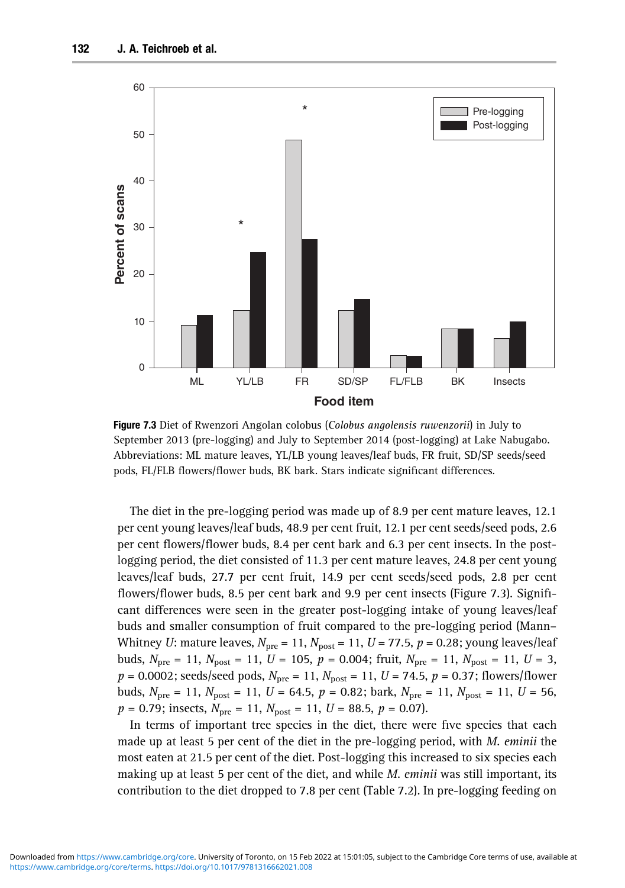

Figure 7.3 Diet of Rwenzori Angolan colobus (*Colobus angolensis ruwenzorii*) in July to September 2013 (pre-logging) and July to September 2014 (post-logging) at Lake Nabugabo. Abbreviations: ML mature leaves, YL/LB young leaves/leaf buds, FR fruit, SD/SP seeds/seed pods, FL/FLB flowers/flower buds, BK bark. Stars indicate significant differences.

The diet in the pre-logging period was made up of 8.9 per cent mature leaves, 12.1 per cent young leaves/leaf buds, 48.9 per cent fruit, 12.1 per cent seeds/seed pods, 2.6 per cent flowers/flower buds, 8.4 per cent bark and 6.3 per cent insects. In the postlogging period, the diet consisted of 11.3 per cent mature leaves, 24.8 per cent young leaves/leaf buds, 27.7 per cent fruit, 14.9 per cent seeds/seed pods, 2.8 per cent flowers/flower buds, 8.5 per cent bark and 9.9 per cent insects (Figure 7.3). Significant differences were seen in the greater post-logging intake of young leaves/leaf buds and smaller consumption of fruit compared to the pre-logging period (Mann– Whitney *U*: mature leaves,  $N_{\text{pre}} = 11$ ,  $N_{\text{post}} = 11$ ,  $U = 77.5$ ,  $p = 0.28$ ; young leaves/leaf buds,  $N_{\text{pre}} = 11$ ,  $N_{\text{post}} = 11$ ,  $U = 105$ ,  $p = 0.004$ ; fruit,  $N_{\text{pre}} = 11$ ,  $N_{\text{post}} = 11$ ,  $U = 3$ ,  $p = 0.0002$ ; seeds/seed pods,  $N_{\text{pre}} = 11$ ,  $N_{\text{post}} = 11$ ,  $U = 74.5$ ,  $p = 0.37$ ; flowers/flower buds,  $N_{\text{pre}} = 11$ ,  $N_{\text{post}} = 11$ ,  $U = 64.5$ ,  $p = 0.82$ ; bark,  $N_{\text{pre}} = 11$ ,  $N_{\text{post}} = 11$ ,  $U = 56$ ,  $p = 0.79$ ; insects,  $N_{\text{pre}} = 11$ ,  $N_{\text{post}} = 11$ ,  $U = 88.5$ ,  $p = 0.07$ ).

In terms of important tree species in the diet, there were five species that each [made](https://www.cambridge.org/core)[up](https://www.cambridge.org/core)[at](https://www.cambridge.org/core)[lea](https://www.cambridge.org/core)[st 5 per cent of the die](https://doi.org/10.1017/9781316662021.008)t in the pre-logging period, with *M. eminii* the most eaten at 21.5 per cent of the diet. Post-logging this increased to six species each making up at least 5 per cent of the diet, and while *M. eminii* was still important, its contribution to the diet dropped to 7.8 per cent (Table 7.2). In pre-logging feeding on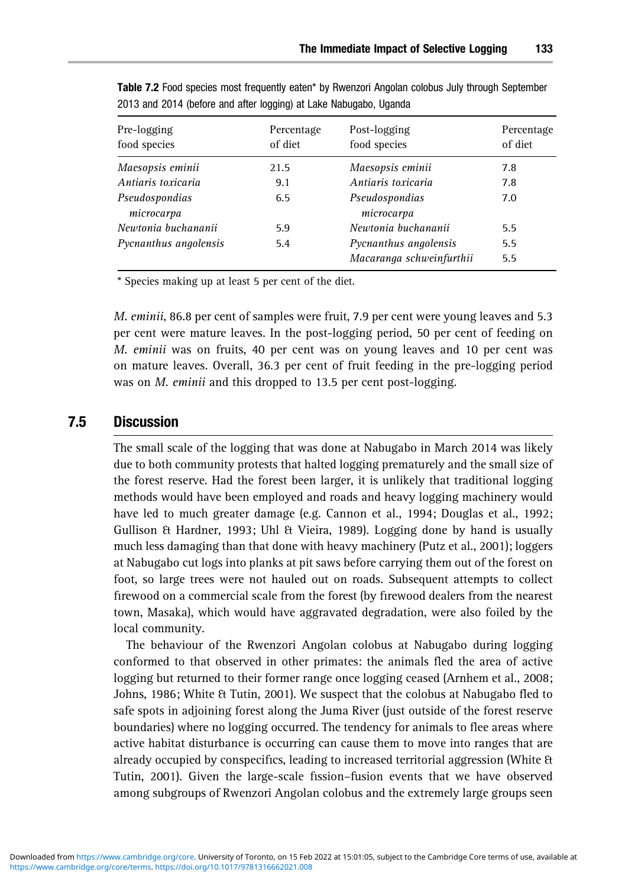| Pre-logging<br>food species  | Percentage<br>of diet | Post-logging<br>food species                      | Percentage<br>of diet |
|------------------------------|-----------------------|---------------------------------------------------|-----------------------|
| Maesopsis eminii             | 21.5                  | Maesopsis eminii                                  | 7.8                   |
| Antiaris toxicaria           | 9.1                   | Antiaris toxicaria                                | 7.8                   |
| Pseudospondias<br>microcarpa | 6.5                   | Pseudospondias<br>microcarpa                      | 7.0                   |
| Newtonia buchananii          | 5.9                   | Newtonia buchananii                               | 5.5                   |
| Pycnanthus angolensis        | 5.4                   | Pycnanthus angolensis<br>Macaranga schweinfurthii | 5.5<br>5.5            |

Table 7.2 Food species most frequently eaten\* by Rwenzori Angolan colobus July through September 2013 and 2014 (before and after logging) at Lake Nabugabo, Uganda

\* Species making up at least 5 per cent of the diet.

*M. eminii*, 86.8 per cent of samples were fruit, 7.9 per cent were young leaves and 5.3 per cent were mature leaves. In the post-logging period, 50 per cent of feeding on *M. eminii* was on fruits, 40 per cent was on young leaves and 10 per cent was on mature leaves. Overall, 36.3 per cent of fruit feeding in the pre-logging period was on *M. eminii* and this dropped to 13.5 per cent post-logging.

## 7.5 Discussion

The small scale of the logging that was done at Nabugabo in March 2014 was likely due to both community protests that halted logging prematurely and the small size of the forest reserve. Had the forest been larger, it is unlikely that traditional logging methods would have been employed and roads and heavy logging machinery would have led to much greater damage (e.g. Cannon et al., 1994; Douglas et al., 1992; Gullison & Hardner, 1993; Uhl & Vieira, 1989). Logging done by hand is usually much less damaging than that done with heavy machinery (Putz et al., 2001); loggers at Nabugabo cut logs into planks at pit saws before carrying them out of the forest on foot, so large trees were not hauled out on roads. Subsequent attempts to collect firewood on a commercial scale from the forest (by firewood dealers from the nearest town, Masaka), which would have aggravated degradation, were also foiled by the local community.

The behaviour of the Rwenzori Angolan colobus at Nabugabo during logging conformed to that observed in other primates: the animals fled the area of active logging but returned to their former range once logging ceased (Arnhem et al., 2008; Johns, 1986; White & Tutin, 2001). We suspect that the colobus at Nabugabo fled to safe spots in adjoining forest along the Juma River (just outside of the forest reserve boundaries) where no logging occurred. The tendency for animals to flee areas where [active](https://www.cambridge.org/core)[habitat](https://www.cambridge.org/core) [disturbance is occurring](https://doi.org/10.1017/9781316662021.008) can cause them to move into ranges that are already occupied by conspecifics, leading to increased territorial aggression (White & Tutin, 2001). Given the large-scale fission–fusion events that we have observed among subgroups of Rwenzori Angolan colobus and the extremely large groups seen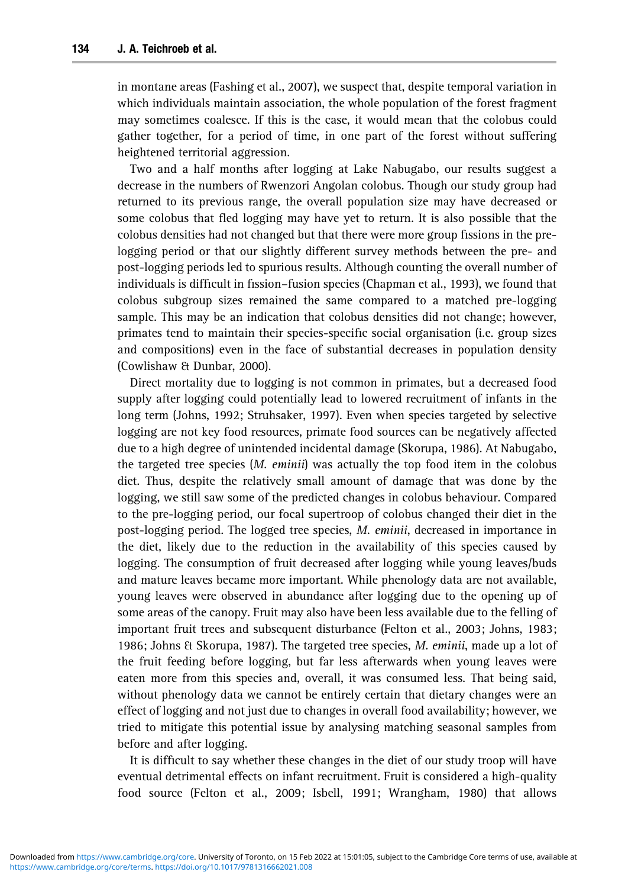in montane areas (Fashing et al., 2007), we suspect that, despite temporal variation in which individuals maintain association, the whole population of the forest fragment may sometimes coalesce. If this is the case, it would mean that the colobus could gather together, for a period of time, in one part of the forest without suffering heightened territorial aggression.

Two and a half months after logging at Lake Nabugabo, our results suggest a decrease in the numbers of Rwenzori Angolan colobus. Though our study group had returned to its previous range, the overall population size may have decreased or some colobus that fled logging may have yet to return. It is also possible that the colobus densities had not changed but that there were more group fissions in the prelogging period or that our slightly different survey methods between the pre- and post-logging periods led to spurious results. Although counting the overall number of individuals is difficult in fission–fusion species (Chapman et al., 1993), we found that colobus subgroup sizes remained the same compared to a matched pre-logging sample. This may be an indication that colobus densities did not change; however, primates tend to maintain their species-specific social organisation (i.e. group sizes and compositions) even in the face of substantial decreases in population density (Cowlishaw & Dunbar, 2000).

Direct mortality due to logging is not common in primates, but a decreased food supply after logging could potentially lead to lowered recruitment of infants in the long term (Johns, 1992; Struhsaker, 1997). Even when species targeted by selective logging are not key food resources, primate food sources can be negatively affected due to a high degree of unintended incidental damage (Skorupa, 1986). At Nabugabo, the targeted tree species (*M. eminii*) was actually the top food item in the colobus diet. Thus, despite the relatively small amount of damage that was done by the logging, we still saw some of the predicted changes in colobus behaviour. Compared to the pre-logging period, our focal supertroop of colobus changed their diet in the post-logging period. The logged tree species, *M. eminii*, decreased in importance in the diet, likely due to the reduction in the availability of this species caused by logging. The consumption of fruit decreased after logging while young leaves/buds and mature leaves became more important. While phenology data are not available, young leaves were observed in abundance after logging due to the opening up of some areas of the canopy. Fruit may also have been less available due to the felling of important fruit trees and subsequent disturbance (Felton et al., 2003; Johns, 1983; 1986; Johns & Skorupa, 1987). The targeted tree species, *M. eminii*, made up a lot of the fruit feeding before logging, but far less afterwards when young leaves were eaten more from this species and, overall, it was consumed less. That being said, without phenology data we cannot be entirely certain that dietary changes were an effect of logging and not just due to changes in overall food availability; however, we tried to mitigate this potential issue by analysing matching seasonal samples from [before](https://www.cambridge.org/core)[and](https://www.cambridge.org/core)[aft](https://www.cambridge.org/core)[er logging.](https://doi.org/10.1017/9781316662021.008)

It is difficult to say whether these changes in the diet of our study troop will have eventual detrimental effects on infant recruitment. Fruit is considered a high-quality food source (Felton et al., 2009; Isbell, 1991; Wrangham, 1980) that allows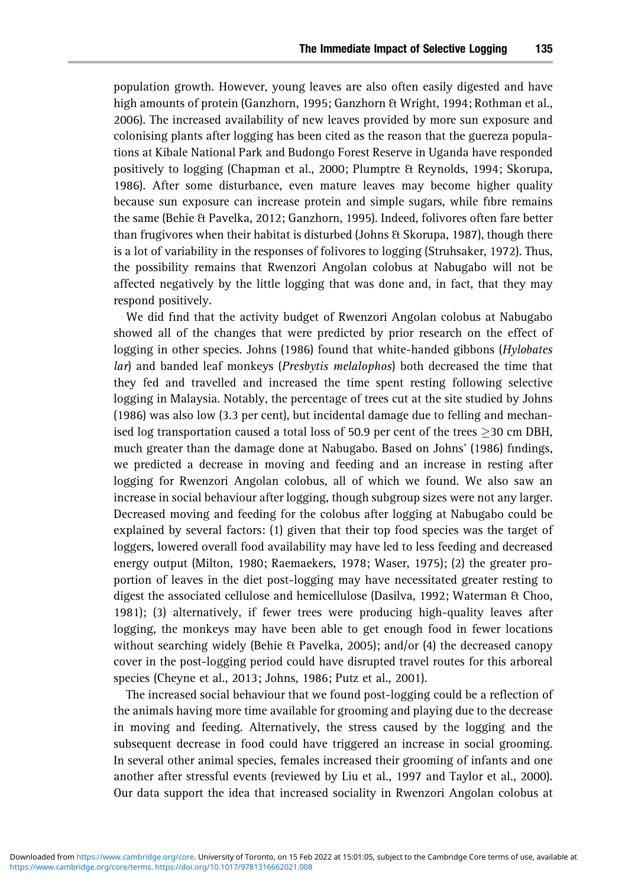population growth. However, young leaves are also often easily digested and have high amounts of protein (Ganzhorn, 1995; Ganzhorn & Wright, 1994; Rothman et al., 2006). The increased availability of new leaves provided by more sun exposure and colonising plants after logging has been cited as the reason that the guereza populations at Kibale National Park and Budongo Forest Reserve in Uganda have responded positively to logging (Chapman et al., 2000; Plumptre & Reynolds, 1994; Skorupa, 1986). After some disturbance, even mature leaves may become higher quality because sun exposure can increase protein and simple sugars, while fibre remains the same (Behie & Pavelka, 2012; Ganzhorn, 1995). Indeed, folivores often fare better than frugivores when their habitat is disturbed (Johns & Skorupa, 1987), though there is a lot of variability in the responses of folivores to logging (Struhsaker, 1972). Thus, the possibility remains that Rwenzori Angolan colobus at Nabugabo will not be affected negatively by the little logging that was done and, in fact, that they may respond positively.

We did find that the activity budget of Rwenzori Angolan colobus at Nabugabo showed all of the changes that were predicted by prior research on the effect of logging in other species. Johns (1986) found that white-handed gibbons (*Hylobates lar*) and banded leaf monkeys (*Presbytis melalophos*) both decreased the time that they fed and travelled and increased the time spent resting following selective logging in Malaysia. Notably, the percentage of trees cut at the site studied by Johns (1986) was also low (3.3 per cent), but incidental damage due to felling and mechanised log transportation caused a total loss of 50.9 per cent of the trees  $\geq$  30 cm DBH, much greater than the damage done at Nabugabo. Based on Johns' (1986) findings, we predicted a decrease in moving and feeding and an increase in resting after logging for Rwenzori Angolan colobus, all of which we found. We also saw an increase in social behaviour after logging, though subgroup sizes were not any larger. Decreased moving and feeding for the colobus after logging at Nabugabo could be explained by several factors: (1) given that their top food species was the target of loggers, lowered overall food availability may have led to less feeding and decreased energy output (Milton, 1980; Raemaekers, 1978; Waser, 1975); (2) the greater proportion of leaves in the diet post-logging may have necessitated greater resting to digest the associated cellulose and hemicellulose (Dasilva, 1992; Waterman & Choo, 1981); (3) alternatively, if fewer trees were producing high-quality leaves after logging, the monkeys may have been able to get enough food in fewer locations without searching widely (Behie & Pavelka, 2005); and/or (4) the decreased canopy cover in the post-logging period could have disrupted travel routes for this arboreal species (Cheyne et al., 2013; Johns, 1986; Putz et al., 2001).

The increased social behaviour that we found post-logging could be a reflection of the animals having more time available for grooming and playing due to the decrease in moving and feeding. Alternatively, the stress caused by the logging and the [subsequent](https://www.cambridge.org/core)[de](https://www.cambridge.org/core)[crease in food could ha](https://doi.org/10.1017/9781316662021.008)ve triggered an increase in social grooming. In several other animal species, females increased their grooming of infants and one another after stressful events (reviewed by Liu et al., 1997 and Taylor et al., 2000). Our data support the idea that increased sociality in Rwenzori Angolan colobus at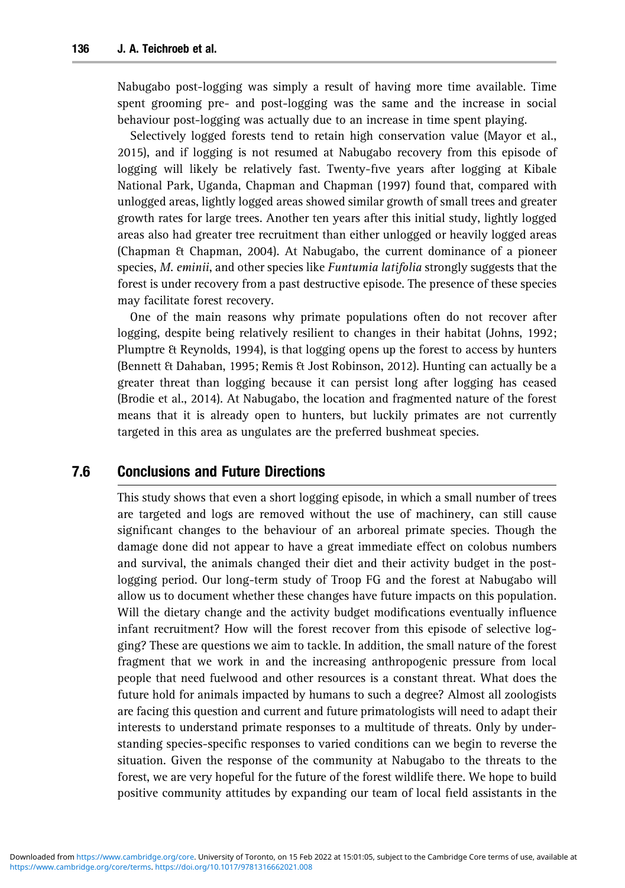Nabugabo post-logging was simply a result of having more time available. Time spent grooming pre- and post-logging was the same and the increase in social behaviour post-logging was actually due to an increase in time spent playing.

Selectively logged forests tend to retain high conservation value (Mayor et al., 2015), and if logging is not resumed at Nabugabo recovery from this episode of logging will likely be relatively fast. Twenty-five years after logging at Kibale National Park, Uganda, Chapman and Chapman (1997) found that, compared with unlogged areas, lightly logged areas showed similar growth of small trees and greater growth rates for large trees. Another ten years after this initial study, lightly logged areas also had greater tree recruitment than either unlogged or heavily logged areas (Chapman & Chapman, 2004). At Nabugabo, the current dominance of a pioneer species, *M. eminii*, and other species like *Funtumia latifolia* strongly suggests that the forest is under recovery from a past destructive episode. The presence of these species may facilitate forest recovery.

One of the main reasons why primate populations often do not recover after logging, despite being relatively resilient to changes in their habitat (Johns, 1992; Plumptre & Reynolds, 1994), is that logging opens up the forest to access by hunters (Bennett & Dahaban, 1995; Remis & Jost Robinson, 2012). Hunting can actually be a greater threat than logging because it can persist long after logging has ceased (Brodie et al., 2014). At Nabugabo, the location and fragmented nature of the forest means that it is already open to hunters, but luckily primates are not currently targeted in this area as ungulates are the preferred bushmeat species.

# 7.6 Conclusions and Future Directions

This study shows that even a short logging episode, in which a small number of trees are targeted and logs are removed without the use of machinery, can still cause significant changes to the behaviour of an arboreal primate species. Though the damage done did not appear to have a great immediate effect on colobus numbers and survival, the animals changed their diet and their activity budget in the postlogging period. Our long-term study of Troop FG and the forest at Nabugabo will allow us to document whether these changes have future impacts on this population. Will the dietary change and the activity budget modifications eventually influence infant recruitment? How will the forest recover from this episode of selective logging? These are questions we aim to tackle. In addition, the small nature of the forest fragment that we work in and the increasing anthropogenic pressure from local people that need fuelwood and other resources is a constant threat. What does the future hold for animals impacted by humans to such a degree? Almost all zoologists are facing this question and current and future primatologists will need to adapt their interests to understand primate responses to a multitude of threats. Only by under[standing](https://www.cambridge.org/core)[speci](https://www.cambridge.org/core)[es-speci](https://doi.org/10.1017/9781316662021.008)fic responses to varied conditions can we begin to reverse the situation. Given the response of the community at Nabugabo to the threats to the forest, we are very hopeful for the future of the forest wildlife there. We hope to build positive community attitudes by expanding our team of local field assistants in the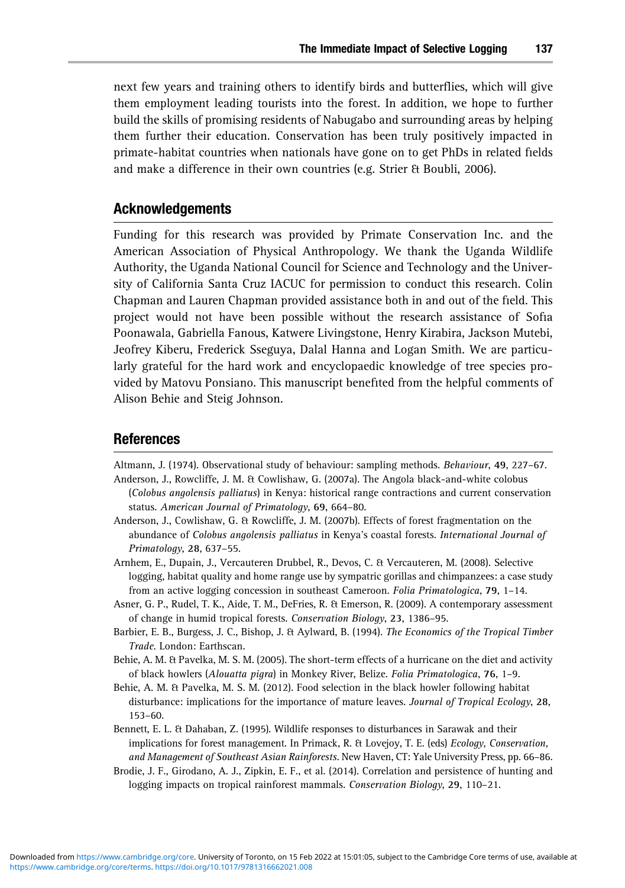next few years and training others to identify birds and butterflies, which will give them employment leading tourists into the forest. In addition, we hope to further build the skills of promising residents of Nabugabo and surrounding areas by helping them further their education. Conservation has been truly positively impacted in primate-habitat countries when nationals have gone on to get PhDs in related fields and make a difference in their own countries (e.g. Strier & Boubli, 2006).

#### Acknowledgements

Funding for this research was provided by Primate Conservation Inc. and the American Association of Physical Anthropology. We thank the Uganda Wildlife Authority, the Uganda National Council for Science and Technology and the University of California Santa Cruz IACUC for permission to conduct this research. Colin Chapman and Lauren Chapman provided assistance both in and out of the field. This project would not have been possible without the research assistance of Sofia Poonawala, Gabriella Fanous, Katwere Livingstone, Henry Kirabira, Jackson Mutebi, Jeofrey Kiberu, Frederick Sseguya, Dalal Hanna and Logan Smith. We are particularly grateful for the hard work and encyclopaedic knowledge of tree species provided by Matovu Ponsiano. This manuscript benefited from the helpful comments of Alison Behie and Steig Johnson.

#### References

- Altmann, J. (1974). Observational study of behaviour: sampling methods. *Behaviour*, **49**, 227–67. Anderson, J., Rowcliffe, J. M. & Cowlishaw, G. (2007a). The Angola black-and-white colobus
- (*Colobus angolensis palliatus*) in Kenya: historical range contractions and current conservation status. *American Journal of Primatology*, **69**, 664–80.
- Anderson, J., Cowlishaw, G. & Rowcliffe, J. M. (2007b). Effects of forest fragmentation on the abundance of *Colobus angolensis palliatus* in Kenya's coastal forests. *International Journal of Primatology*, **28**, 637–55.
- Arnhem, E., Dupain, J., Vercauteren Drubbel, R., Devos, C. & Vercauteren, M. (2008). Selective logging, habitat quality and home range use by sympatric gorillas and chimpanzees: a case study from an active logging concession in southeast Cameroon. *Folia Primatologica*, **79**, 1–14.
- Asner, G. P., Rudel, T. K., Aide, T. M., DeFries, R. & Emerson, R. (2009). A contemporary assessment of change in humid tropical forests. *Conservation Biology*, **23**, 1386–95.
- Barbier, E. B., Burgess, J. C., Bishop, J. & Aylward, B. (1994). *The Economics of the Tropical Timber Trade*. London: Earthscan.
- Behie, A. M. & Pavelka, M. S. M. (2005). The short-term effects of a hurricane on the diet and activity of black howlers (*Alouatta pigra*) in Monkey River, Belize. *Folia Primatologica*, **76**, 1–9.
- Behie, A. M. & Pavelka, M. S. M. (2012). Food selection in the black howler following habitat disturbance: implications for the importance of mature leaves. *Journal of Tropical Ecology*, **28**, 153–60.
- Bennett, E. L. & Dahaban, Z. (1995). Wildlife responses to disturbances in Sarawak and their [implications](https://www.cambridge.org/core)[fo](https://www.cambridge.org/core)[r forest management. In Pri](https://doi.org/10.1017/9781316662021.008)mack, R. & Lovejoy, T. E. (eds) *Ecology, Conservation, and Management of Southeast Asian Rainforests*. New Haven, CT: Yale University Press, pp. 66–86.
- Brodie, J. F., Girodano, A. J., Zipkin, E. F., et al. (2014). Correlation and persistence of hunting and logging impacts on tropical rainforest mammals. *Conservation Biology*, **29**, 110–21.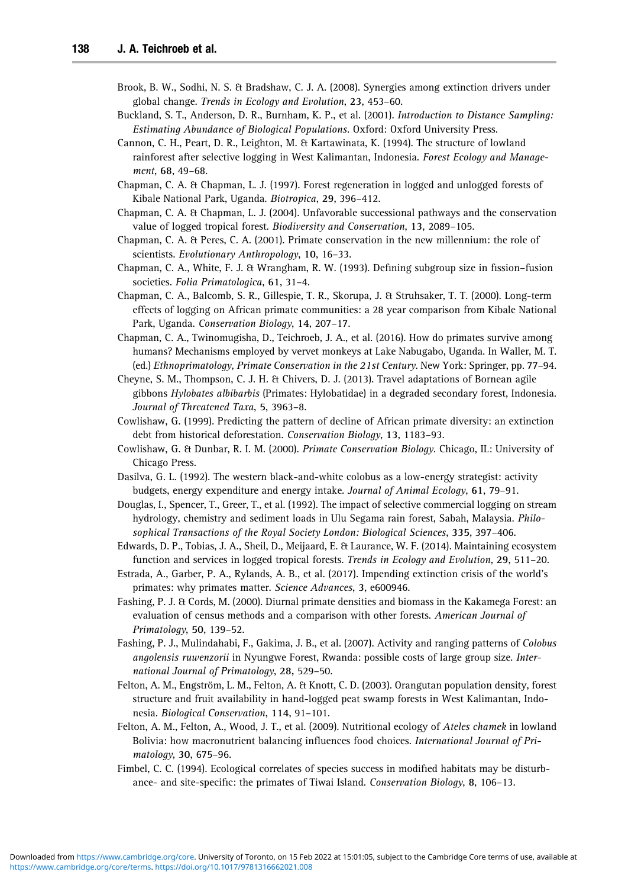- Brook, B. W., Sodhi, N. S. & Bradshaw, C. J. A. (2008). Synergies among extinction drivers under global change. *Trends in Ecology and Evolution*, **23**, 453–60.
- Buckland, S. T., Anderson, D. R., Burnham, K. P., et al. (2001). *Introduction to Distance Sampling: Estimating Abundance of Biological Populations*. Oxford: Oxford University Press.
- Cannon, C. H., Peart, D. R., Leighton, M. & Kartawinata, K. (1994). The structure of lowland rainforest after selective logging in West Kalimantan, Indonesia. *Forest Ecology and Management*, **68**, 49–68.
- Chapman, C. A. & Chapman, L. J. (1997). Forest regeneration in logged and unlogged forests of Kibale National Park, Uganda. *Biotropica*, **29**, 396–412.
- Chapman, C. A. & Chapman, L. J. (2004). Unfavorable successional pathways and the conservation value of logged tropical forest. *Biodiversity and Conservation*, **13**, 2089–105.
- Chapman, C. A. & Peres, C. A. (2001). Primate conservation in the new millennium: the role of scientists. *Evolutionary Anthropology*, **10**, 16–33.
- Chapman, C. A., White, F. J. & Wrangham, R. W. (1993). Defining subgroup size in fission–fusion societies. *Folia Primatologica*, **61**, 31–4.
- Chapman, C. A., Balcomb, S. R., Gillespie, T. R., Skorupa, J. & Struhsaker, T. T. (2000). Long-term effects of logging on African primate communities: a 28 year comparison from Kibale National Park, Uganda. *Conservation Biology*, **14**, 207–17.
- Chapman, C. A., Twinomugisha, D., Teichroeb, J. A., et al. (2016). How do primates survive among humans? Mechanisms employed by vervet monkeys at Lake Nabugabo, Uganda. In Waller, M. T. (ed.) *Ethnoprimatology, Primate Conservation in the 21st Century*. New York: Springer, pp. 77–94.
- Cheyne, S. M., Thompson, C. J. H. & Chivers, D. J. (2013). Travel adaptations of Bornean agile gibbons *Hylobates albibarbis* (Primates: Hylobatidae) in a degraded secondary forest, Indonesia. *Journal of Threatened Taxa*, **5**, 3963–8.
- Cowlishaw, G. (1999). Predicting the pattern of decline of African primate diversity: an extinction debt from historical deforestation. *Conservation Biology*, **13**, 1183–93.
- Cowlishaw, G. & Dunbar, R. I. M. (2000). *Primate Conservation Biology*. Chicago, IL: University of Chicago Press.
- Dasilva, G. L. (1992). The western black-and-white colobus as a low-energy strategist: activity budgets, energy expenditure and energy intake. *Journal of Animal Ecology*, **61**, 79–91.
- Douglas, I., Spencer, T., Greer, T., et al. (1992). The impact of selective commercial logging on stream hydrology, chemistry and sediment loads in Ulu Segama rain forest, Sabah, Malaysia. *Philosophical Transactions of the Royal Society London: Biological Sciences*, **335**, 397–406.
- Edwards, D. P., Tobias, J. A., Sheil, D., Meijaard, E. & Laurance, W. F. (2014). Maintaining ecosystem function and services in logged tropical forests. *Trends in Ecology and Evolution*, **29**, 511–20.
- Estrada, A., Garber, P. A., Rylands, A. B., et al. (2017). Impending extinction crisis of the world's primates: why primates matter. *Science Advances*, **3**, e600946.
- Fashing, P. J. & Cords, M. (2000). Diurnal primate densities and biomass in the Kakamega Forest: an evaluation of census methods and a comparison with other forests. *American Journal of Primatology*, **50**, 139–52.
- Fashing, P. J., Mulindahabi, F., Gakima, J. B., et al. (2007). Activity and ranging patterns of *Colobus angolensis ruwenzorii* in Nyungwe Forest, Rwanda: possible costs of large group size. *International Journal of Primatology*, **28,** 529–50.
- Felton, A. M., Engström, L. M., Felton, A. & Knott, C. D. (2003). Orangutan population density, forest structure and fruit availability in hand-logged peat swamp forests in West Kalimantan, Indonesia. *Biological Conservation*, **114**, 91–101.
- Felton, A. M., Felton, A., Wood, J. T., et al. (2009). Nutritional ecology of *Ateles chamek* in lowland [Bolivia: how](https://www.cambridge.org/core) [macronutrient balancing in](https://doi.org/10.1017/9781316662021.008)fluences food choices. *International Journal of Pri[mato](https://www.cambridge.org/core/terms)logy*, **30**, 675–96.
- Fimbel, C. C. (1994). Ecological correlates of species success in modified habitats may be disturbance- and site-specific: the primates of Tiwai Island. *Conservation Biology*, **8**, 106–13.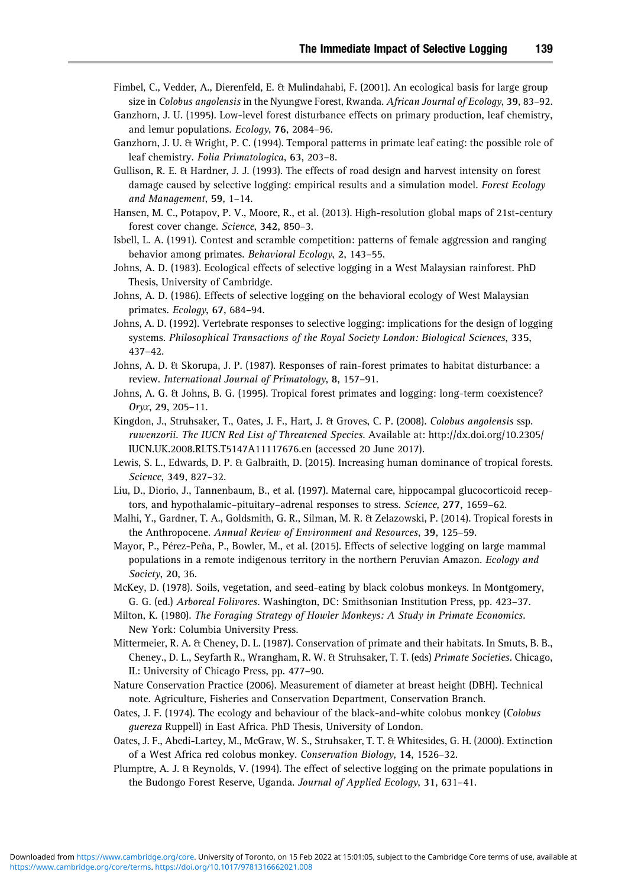- Fimbel, C., Vedder, A., Dierenfeld, E. & Mulindahabi, F. (2001). An ecological basis for large group size in *Colobus angolensis* in the Nyungwe Forest, Rwanda. *African Journal of Ecology*, **39**, 83–92.
- Ganzhorn, J. U. (1995). Low-level forest disturbance effects on primary production, leaf chemistry, and lemur populations. *Ecology*, **76**, 2084–96.
- Ganzhorn, J. U. & Wright, P. C. (1994). Temporal patterns in primate leaf eating: the possible role of leaf chemistry. *Folia Primatologica*, **63**, 203–8.
- Gullison, R. E. & Hardner, J. J. (1993). The effects of road design and harvest intensity on forest damage caused by selective logging: empirical results and a simulation model. *Forest Ecology and Management*, **59**, 1–14.
- Hansen, M. C., Potapov, P. V., Moore, R., et al. (2013). High-resolution global maps of 21st-century forest cover change. *Science*, **342**, 850–3.
- Isbell, L. A. (1991). Contest and scramble competition: patterns of female aggression and ranging behavior among primates. *Behavioral Ecology*, **2**, 143–55.
- Johns, A. D. (1983). Ecological effects of selective logging in a West Malaysian rainforest. PhD Thesis, University of Cambridge.
- Johns, A. D. (1986). Effects of selective logging on the behavioral ecology of West Malaysian primates. *Ecology*, **67**, 684–94.
- Johns, A. D. (1992). Vertebrate responses to selective logging: implications for the design of logging systems. *Philosophical Transactions of the Royal Society London: Biological Sciences*, **335**, 437–42.
- Johns, A. D. & Skorupa, J. P. (1987). Responses of rain-forest primates to habitat disturbance: a review. *International Journal of Primatology*, **8**, 157–91.
- Johns, A. G. & Johns, B. G. (1995). Tropical forest primates and logging: long-term coexistence? *Oryx*, **29**, 205–11.
- Kingdon, J., Struhsaker, T., Oates, J. F., Hart, J. & Groves, C. P. (2008). *Colobus angolensis* ssp. *ruwenzorii. The IUCN Red List of Threatened Species*. Available at: http://dx.doi.org/10.2305/ IUCN.UK.2008.RLTS.T5147A11117676.en (accessed 20 June 2017).
- Lewis, S. L., Edwards, D. P. & Galbraith, D. (2015). Increasing human dominance of tropical forests. *Science*, **349**, 827–32.
- Liu, D., Diorio, J., Tannenbaum, B., et al. (1997). Maternal care, hippocampal glucocorticoid receptors, and hypothalamic–pituitary–adrenal responses to stress. *Science*, **277**, 1659–62.
- Malhi, Y., Gardner, T. A., Goldsmith, G. R., Silman, M. R. & Zelazowski, P. (2014). Tropical forests in the Anthropocene. *Annual Review of Environment and Resources*, **39**, 125–59.
- Mayor, P., Pérez-Peña, P., Bowler, M., et al. (2015). Effects of selective logging on large mammal populations in a remote indigenous territory in the northern Peruvian Amazon. *Ecology and Society*, **20**, 36.
- McKey, D. (1978). Soils, vegetation, and seed-eating by black colobus monkeys. In Montgomery, G. G. (ed.) *Arboreal Folivores*. Washington, DC: Smithsonian Institution Press, pp. 423–37.
- Milton, K. (1980). *The Foraging Strategy of Howler Monkeys: A Study in Primate Economics*. New York: Columbia University Press.
- Mittermeier, R. A. & Cheney, D. L. (1987). Conservation of primate and their habitats. In Smuts, B. B., Cheney., D. L., Seyfarth R., Wrangham, R. W. & Struhsaker, T. T. (eds) *Primate Societies*. Chicago, IL: University of Chicago Press, pp. 477–90.
- Nature Conservation Practice (2006). Measurement of diameter at breast height (DBH). Technical note. Agriculture, Fisheries and Conservation Department, Conservation Branch.
- Oates, J. F. (1974). The ecology and behaviour of the black-and-white colobus monkey (*Colobus guereza* Ruppell) in East Africa. PhD Thesis, University of London.
- [Oates, J. F., Abedi-](https://www.cambridge.org/core)Lartey, M., McGraw, W. S., Struhsaker, T. T. & Whitesides, G. H. (2000). Extinction [of](https://www.cambridge.org/core/terms) [a](https://www.cambridge.org/core/terms) [West](https://doi.org/10.1017/9781316662021.008) [Africa](https://doi.org/10.1017/9781316662021.008) [red](https://doi.org/10.1017/9781316662021.008) [colobus](https://doi.org/10.1017/9781316662021.008) [monkey.](https://doi.org/10.1017/9781316662021.008) *Conservation Biology*, **14**, 1526–32.
- Plumptre, A. J. & Reynolds, V. (1994). The effect of selective logging on the primate populations in the Budongo Forest Reserve, Uganda. *Journal of Applied Ecology*, **31**, 631–41.